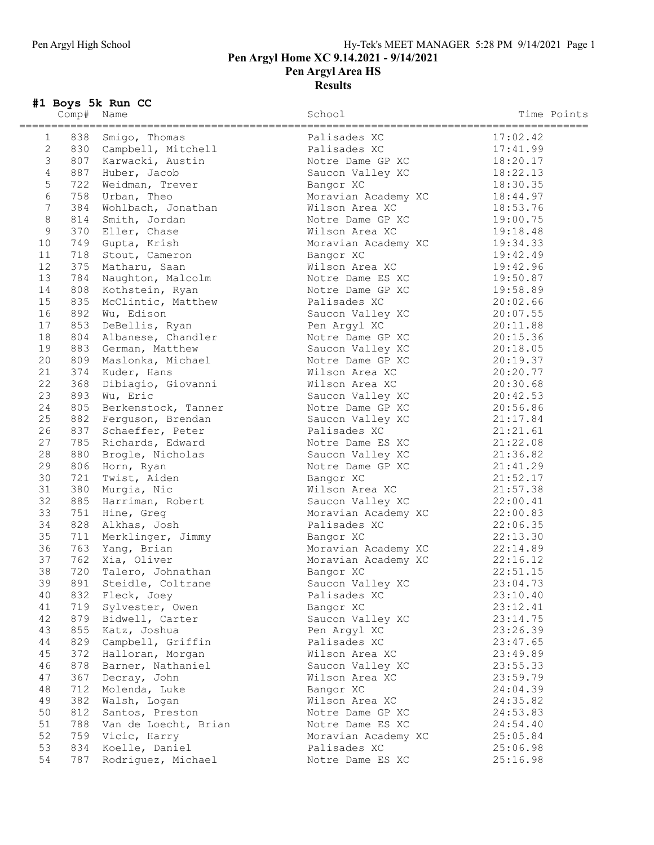## Pen Argyl High School Hy-Tek's MEET MANAGER 5:28 PM 9/14/2021 Page 1 Pen Argyl Home XC 9.14.2021 - 9/14/2021 Pen Argyl Area HS **Results**

## #1 Boys 5k Run CC

|                 | Comp# | Name                    | School                           | Time Points          |
|-----------------|-------|-------------------------|----------------------------------|----------------------|
| $\mathbf{1}$    |       | 838 Smigo, Thomas       | Palisades XC                     | 17:02.42             |
| $\mathbf{2}$    |       | 830 Campbell, Mitchell  | Palisades XC                     | 17:41.99             |
| $\mathcal{E}$   |       | 807 Karwacki, Austin    | Notre Dame GP XC                 | 18:20.17             |
| $\overline{4}$  |       | 887 Huber, Jacob        | Saucon Valley XC                 | 18:22.13             |
| 5               |       | 722 Weidman, Trever     | Bangor XC                        | 18:30.35             |
| $\epsilon$      |       | 758 Urban, Theo         | Moravian Academy XC              | 18:44.97             |
| $7\phantom{.0}$ |       | 384 Wohlbach, Jonathan  | Wilson Area XC                   | 18:53.76             |
| $\,8\,$         |       | 814 Smith, Jordan       | Notre Dame GP XC                 | 19:00.75             |
| $\mathcal{G}$   |       | 370 Eller, Chase        | Wilson Area XC                   | 19:18.48             |
| 10              |       | 749 Gupta, Krish        | Moravian Academy XC              | 19:34.33             |
| 11              |       | 718 Stout, Cameron      | Bangor XC                        | 19:42.49             |
| 12              |       | 375 Matharu, Saan       | Wilson Area XC                   | 19:42.96             |
| 13              | 784   | Naughton, Malcolm       | Notre Dame ES XC                 | 19:50.87             |
| 14              |       | 808 Kothstein, Ryan     | Notre Dame GP XC                 | 19:58.89             |
| 15              | 835   | McClintic, Matthew      | Palisades XC                     | 20:02.66             |
| 16              | 892   | Wu, Edison              | Saucon Valley XC                 | 20:07.55             |
| 17              |       | 853 DeBellis, Ryan      | Pen Argyl XC                     | 20:11.88             |
| 18              |       | 804 Albanese, Chandler  | Notre Dame GP XC                 | 20:15.36             |
| 19              |       | 883 German, Matthew     | Saucon Valley XC                 | 20:18.05             |
| 20              |       | 809 Maslonka, Michael   | Notre Dame GP XC                 | 20:19.37             |
| 21              |       | 374 Kuder, Hans         | Wilson Area XC                   | 20:20.77             |
| 22              |       | 368 Dibiagio, Giovanni  | Wilson Area XC                   | 20:30.68             |
| 23              |       | 893 Wu, Eric            | Saucon Valley XC                 | 20:42.53             |
| 24              |       | 805 Berkenstock, Tanner | Notre Dame GP XC                 | 20:56.86             |
| 25              |       | 882 Ferguson, Brendan   | Saucon Valley XC                 | 21:17.84             |
| 26              |       | 837 Schaeffer, Peter    | Palisades XC                     | 21:21.61             |
| 27              |       | 785 Richards, Edward    | Notre Dame ES XC                 | 21:22.08             |
| 28              |       | 880 Brogle, Nicholas    | Saucon Valley XC                 | 21:36.82             |
| 29              |       | 806 Horn, Ryan          | Notre Dame GP XC                 | 21:41.29             |
| 30              |       | 721 Twist, Aiden        | Bangor XC                        | 21:52.17             |
| 31              |       | 380 Murgia, Nic         | Wilson Area XC                   | 21:57.38             |
| 32              |       | 885 Harriman, Robert    | Saucon Valley XC                 | 22:00.41             |
| 33              |       | 751 Hine, Greg          | Moravian Academy XC              | 22:00.83             |
| 34              |       | 828 Alkhas, Josh        | Palisades XC                     | 22:06.35             |
| 35              |       | 711 Merklinger, Jimmy   |                                  | 22:13.30             |
| 36              |       | 763 Yang, Brian         | Bangor XC<br>Moravian Academy XC | 22:14.89             |
| 37              |       | 762 Xia, Oliver         |                                  |                      |
| 38              |       | 720 Talero, Johnathan   | Moravian Academy XC              | 22:16.12<br>22:51.15 |
|                 |       |                         | Bangor XC                        |                      |
| 39              |       | 891 Steidle, Coltrane   | Saucon Valley XC                 | 23:04.73             |
| 40              | 832   | Fleck, Joey             | Palisades XC                     | 23:10.40             |
| 41              |       | 719 Sylvester, Owen     | Bangor XC                        | 23:12.41             |
| 42              |       | 879 Bidwell, Carter     | Saucon Valley XC                 | 23:14.75             |
| 43              | 855   | Katz, Joshua            | Pen Argyl XC                     | 23:26.39             |
| 44              | 829   | Campbell, Griffin       | Palisades XC                     | 23:47.65             |
| 45              | 372   | Halloran, Morgan        | Wilson Area XC                   | 23:49.89             |
| 46              | 878   | Barner, Nathaniel       | Saucon Valley XC                 | 23:55.33             |
| 47              | 367   | Decray, John            | Wilson Area XC                   | 23:59.79             |
| 48              | 712   | Molenda, Luke           | Bangor XC                        | 24:04.39             |
| 49              | 382   | Walsh, Logan            | Wilson Area XC                   | 24:35.82             |
| 50              | 812   | Santos, Preston         | Notre Dame GP XC                 | 24:53.83             |
| 51              | 788   | Van de Loecht, Brian    | Notre Dame ES XC                 | 24:54.40             |

52 759 Vicic, Harry 1988 Moravian Academy XC 25:05.84 53 834 Koelle, Daniel Palisades XC 25:06.98 54 787 Rodriguez, Michael Notre Dame ES XC 25:16.98